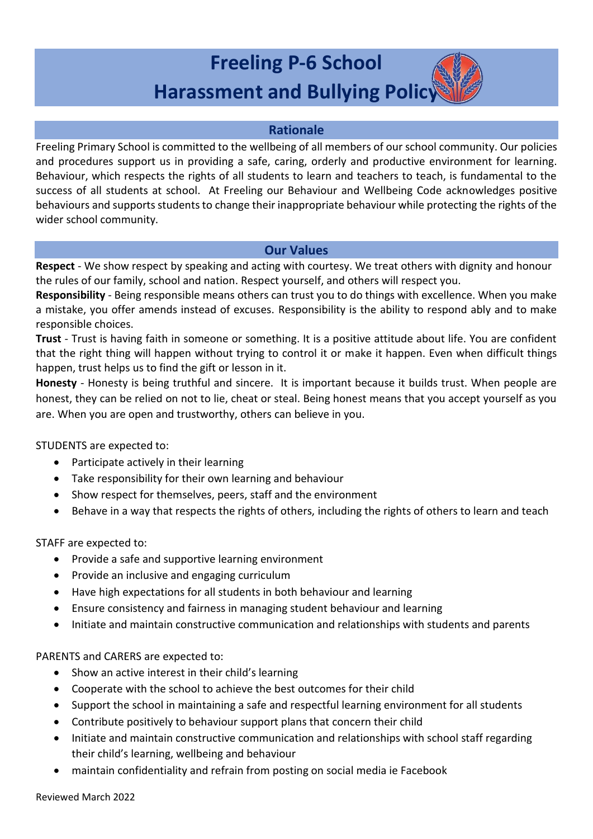# **Freeling P-6 School Harassment and Bullying Policy**

#### **Rationale**

Freeling Primary School is committed to the wellbeing of all members of our school community. Our policies and procedures support us in providing a safe, caring, orderly and productive environment for learning. Behaviour, which respects the rights of all students to learn and teachers to teach, is fundamental to the success of all students at school. At Freeling our Behaviour and Wellbeing Code acknowledges positive behaviours and supports students to change their inappropriate behaviour while protecting the rights of the wider school community.

#### **Our Values**

**Respect** - We show respect by speaking and acting with courtesy. We treat others with dignity and honour the rules of our family, school and nation. Respect yourself, and others will respect you.

**Responsibility** - Being responsible means others can trust you to do things with excellence. When you make a mistake, you offer amends instead of excuses. Responsibility is the ability to respond ably and to make responsible choices.

**Trust** - Trust is having faith in someone or something. It is a positive attitude about life. You are confident that the right thing will happen without trying to control it or make it happen. Even when difficult things happen, trust helps us to find the gift or lesson in it.

**Honesty** - Honesty is being truthful and sincere. It is important because it builds trust. When people are honest, they can be relied on not to lie, cheat or steal. Being honest means that you accept yourself as you are. When you are open and trustworthy, others can believe in you.

STUDENTS are expected to:

- Participate actively in their learning
- Take responsibility for their own learning and behaviour
- Show respect for themselves, peers, staff and the environment
- Behave in a way that respects the rights of others, including the rights of others to learn and teach

STAFF are expected to:

- Provide a safe and supportive learning environment
- Provide an inclusive and engaging curriculum
- Have high expectations for all students in both behaviour and learning
- Ensure consistency and fairness in managing student behaviour and learning
- Initiate and maintain constructive communication and relationships with students and parents

PARENTS and CARERS are expected to:

- Show an active interest in their child's learning
- Cooperate with the school to achieve the best outcomes for their child
- Support the school in maintaining a safe and respectful learning environment for all students
- Contribute positively to behaviour support plans that concern their child
- Initiate and maintain constructive communication and relationships with school staff regarding their child's learning, wellbeing and behaviour
- maintain confidentiality and refrain from posting on social media ie Facebook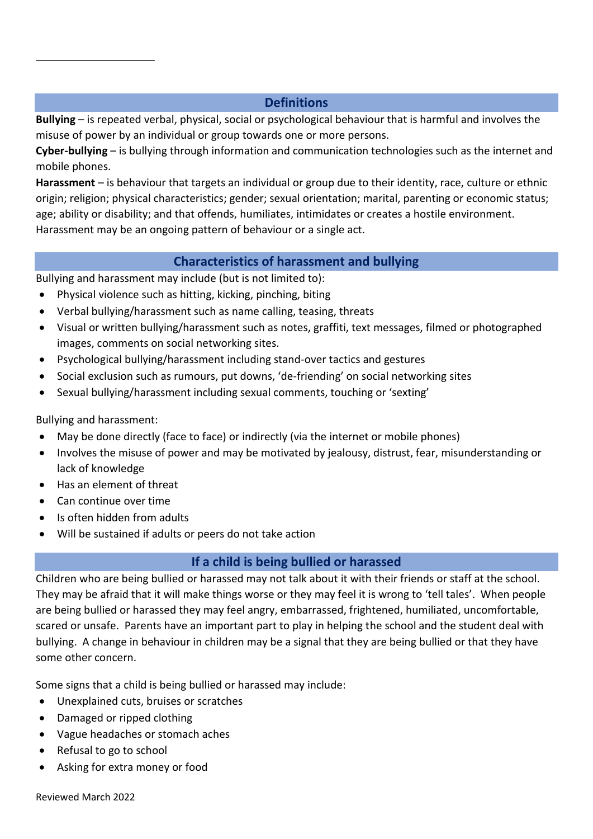## **Definitions**

**Bullying** – is repeated verbal, physical, social or psychological behaviour that is harmful and involves the misuse of power by an individual or group towards one or more persons.

**Cyber-bullying** – is bullying through information and communication technologies such as the internet and mobile phones.

**Harassment** – is behaviour that targets an individual or group due to their identity, race, culture or ethnic origin; religion; physical characteristics; gender; sexual orientation; marital, parenting or economic status; age; ability or disability; and that offends, humiliates, intimidates or creates a hostile environment. Harassment may be an ongoing pattern of behaviour or a single act.

## **Characteristics of harassment and bullying**

Bullying and harassment may include (but is not limited to):

- Physical violence such as hitting, kicking, pinching, biting
- Verbal bullying/harassment such as name calling, teasing, threats
- Visual or written bullying/harassment such as notes, graffiti, text messages, filmed or photographed images, comments on social networking sites.
- Psychological bullying/harassment including stand-over tactics and gestures
- Social exclusion such as rumours, put downs, 'de-friending' on social networking sites
- Sexual bullying/harassment including sexual comments, touching or 'sexting'

Bullying and harassment:

- May be done directly (face to face) or indirectly (via the internet or mobile phones)
- Involves the misuse of power and may be motivated by jealousy, distrust, fear, misunderstanding or lack of knowledge
- Has an element of threat
- Can continue over time
- Is often hidden from adults
- Will be sustained if adults or peers do not take action

## **If a child is being bullied or harassed**

Children who are being bullied or harassed may not talk about it with their friends or staff at the school. They may be afraid that it will make things worse or they may feel it is wrong to 'tell tales'. When people are being bullied or harassed they may feel angry, embarrassed, frightened, humiliated, uncomfortable, scared or unsafe. Parents have an important part to play in helping the school and the student deal with bullying. A change in behaviour in children may be a signal that they are being bullied or that they have some other concern.

Some signs that a child is being bullied or harassed may include:

- Unexplained cuts, bruises or scratches
- Damaged or ripped clothing
- Vague headaches or stomach aches
- Refusal to go to school
- Asking for extra money or food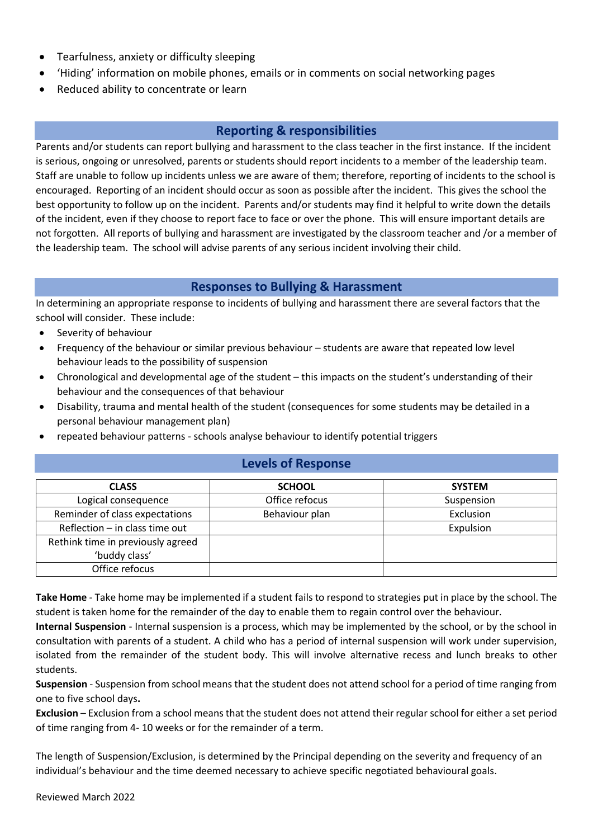- Tearfulness, anxiety or difficulty sleeping
- 'Hiding' information on mobile phones, emails or in comments on social networking pages
- Reduced ability to concentrate or learn

## **Reporting & responsibilities**

Parents and/or students can report bullying and harassment to the class teacher in the first instance. If the incident is serious, ongoing or unresolved, parents or students should report incidents to a member of the leadership team. Staff are unable to follow up incidents unless we are aware of them; therefore, reporting of incidents to the school is encouraged. Reporting of an incident should occur as soon as possible after the incident. This gives the school the best opportunity to follow up on the incident. Parents and/or students may find it helpful to write down the details of the incident, even if they choose to report face to face or over the phone. This will ensure important details are not forgotten. All reports of bullying and harassment are investigated by the classroom teacher and /or a member of the leadership team. The school will advise parents of any serious incident involving their child.

#### **Responses to Bullying & Harassment**

In determining an appropriate response to incidents of bullying and harassment there are several factors that the school will consider. These include:

- Severity of behaviour
- Frequency of the behaviour or similar previous behaviour students are aware that repeated low level behaviour leads to the possibility of suspension
- Chronological and developmental age of the student this impacts on the student's understanding of their behaviour and the consequences of that behaviour
- Disability, trauma and mental health of the student (consequences for some students may be detailed in a personal behaviour management plan)
- repeated behaviour patterns schools analyse behaviour to identify potential triggers

#### **Levels of Response**

| <b>CLASS</b>                      | <b>SCHOOL</b>  | <b>SYSTEM</b> |
|-----------------------------------|----------------|---------------|
| Logical consequence               | Office refocus | Suspension    |
| Reminder of class expectations    | Behaviour plan | Exclusion     |
| Reflection $-$ in class time out  |                | Expulsion     |
| Rethink time in previously agreed |                |               |
| 'buddy class'                     |                |               |
| Office refocus                    |                |               |

**Take Home** - Take home may be implemented if a student fails to respond to strategies put in place by the school. The student is taken home for the remainder of the day to enable them to regain control over the behaviour.

**Internal Suspension** - Internal suspension is a process, which may be implemented by the school, or by the school in consultation with parents of a student. A child who has a period of internal suspension will work under supervision, isolated from the remainder of the student body. This will involve alternative recess and lunch breaks to other students.

**Suspension** - Suspension from school means that the student does not attend school for a period of time ranging from one to five school days**.**

**Exclusion** – Exclusion from a school means that the student does not attend their regular school for either a set period of time ranging from 4- 10 weeks or for the remainder of a term.

The length of Suspension/Exclusion, is determined by the Principal depending on the severity and frequency of an individual's behaviour and the time deemed necessary to achieve specific negotiated behavioural goals.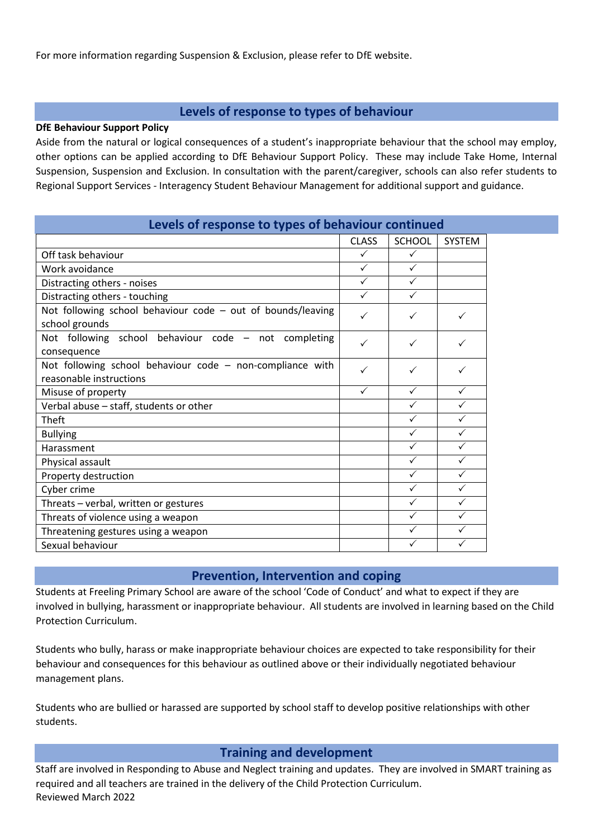For more information regarding Suspension & Exclusion, please refer to DfE website.

### **Levels of response to types of behaviour**

#### **DfE Behaviour Support Policy**

Aside from the natural or logical consequences of a student's inappropriate behaviour that the school may employ, other options can be applied according to DfE Behaviour Support Policy. These may include Take Home, Internal Suspension, Suspension and Exclusion. In consultation with the parent/caregiver, schools can also refer students to Regional Support Services - Interagency Student Behaviour Management for additional support and guidance.

| Levels of response to types of behaviour continued                                   |              |               |               |  |
|--------------------------------------------------------------------------------------|--------------|---------------|---------------|--|
|                                                                                      | <b>CLASS</b> | <b>SCHOOL</b> | <b>SYSTEM</b> |  |
| Off task behaviour                                                                   | $\checkmark$ | $\checkmark$  |               |  |
| Work avoidance                                                                       | $\checkmark$ | $\checkmark$  |               |  |
| Distracting others - noises                                                          | $\checkmark$ | $\checkmark$  |               |  |
| Distracting others - touching                                                        | $\checkmark$ | $\checkmark$  |               |  |
| Not following school behaviour code $-$ out of bounds/leaving<br>school grounds      | ✓            | ✓             | $\checkmark$  |  |
| Not following school behaviour code - not completing<br>consequence                  | ✓            | ✓             | $\checkmark$  |  |
| Not following school behaviour code - non-compliance with<br>reasonable instructions | ✓            | ✓             | $\checkmark$  |  |
| Misuse of property                                                                   | $\checkmark$ | $\checkmark$  | $\checkmark$  |  |
| Verbal abuse - staff, students or other                                              |              | $\checkmark$  | $\checkmark$  |  |
| <b>Theft</b>                                                                         |              | $\checkmark$  | $\checkmark$  |  |
| <b>Bullying</b>                                                                      |              | $\checkmark$  | $\checkmark$  |  |
| Harassment                                                                           |              | ✓             | $\checkmark$  |  |
| Physical assault                                                                     |              | $\checkmark$  | $\checkmark$  |  |
| Property destruction                                                                 |              | $\checkmark$  | $\checkmark$  |  |
| Cyber crime                                                                          |              | ✓             | $\checkmark$  |  |
| Threats - verbal, written or gestures                                                |              | ✓             | ✓             |  |
| Threats of violence using a weapon                                                   |              | ✓             | ✓             |  |
| Threatening gestures using a weapon                                                  |              | $\checkmark$  | $\checkmark$  |  |
| Sexual behaviour                                                                     |              | ✓             | ✓             |  |

#### **Prevention, Intervention and coping**

Students at Freeling Primary School are aware of the school 'Code of Conduct' and what to expect if they are involved in bullying, harassment or inappropriate behaviour. All students are involved in learning based on the Child Protection Curriculum.

Students who bully, harass or make inappropriate behaviour choices are expected to take responsibility for their behaviour and consequences for this behaviour as outlined above or their individually negotiated behaviour management plans.

Students who are bullied or harassed are supported by school staff to develop positive relationships with other students.

#### **Training and development**

Reviewed March 2022 Staff are involved in Responding to Abuse and Neglect training and updates. They are involved in SMART training as required and all teachers are trained in the delivery of the Child Protection Curriculum.